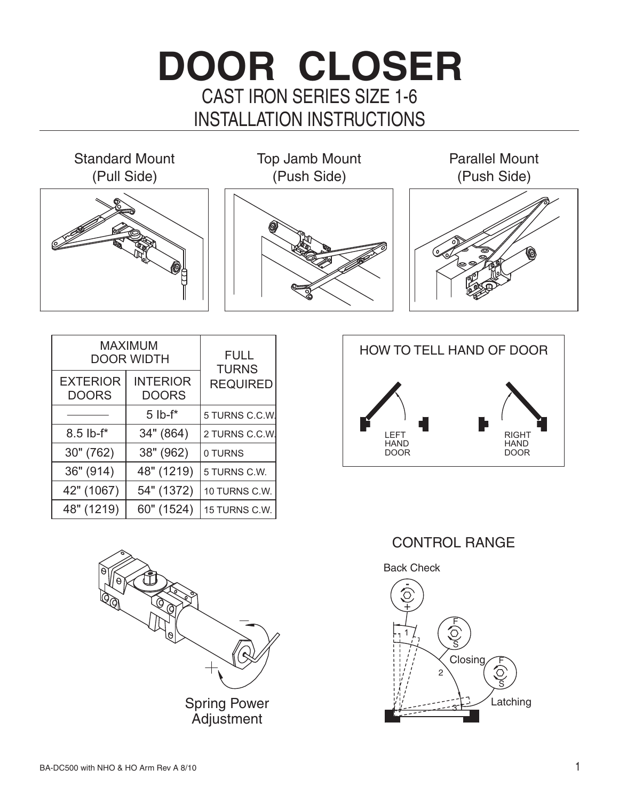## CAST IRON SERIES SIZE 1-6 **DOOR CLOSER** INSTALLATION INSTRUCTIONS

Standard Mount (Pull Side) Top Jamb Mount (Push Side) (Push Side) Parallel Mount

| MAXIMUM<br><b>DOOR WIDTH</b>    |                                 | <b>FULL</b><br><b>TURNS</b> |
|---------------------------------|---------------------------------|-----------------------------|
| <b>EXTERIOR</b><br><b>DOORS</b> | <b>INTERIOR</b><br><b>DOORS</b> | <b>REQUIRED</b>             |
|                                 | $5$ lb- $f^*$                   | 5 TURNS C.C.W.              |
| $8.5$ lb- $f^*$                 | 34" (864)                       | 2 TURNS C.C.W.              |
| 30" (762)                       | 38" (962)                       | 0 TURNS                     |
| 36" (914)                       | 48" (1219)                      | 5 TURNS C.W.                |
| 42" (1067)                      | 54" (1372)                      | 10 TURNS C.W.               |
| 48" (1219)                      | 60" (1524)                      | 15 TURNS C.W.               |



CONTROL RANGE

Back Check



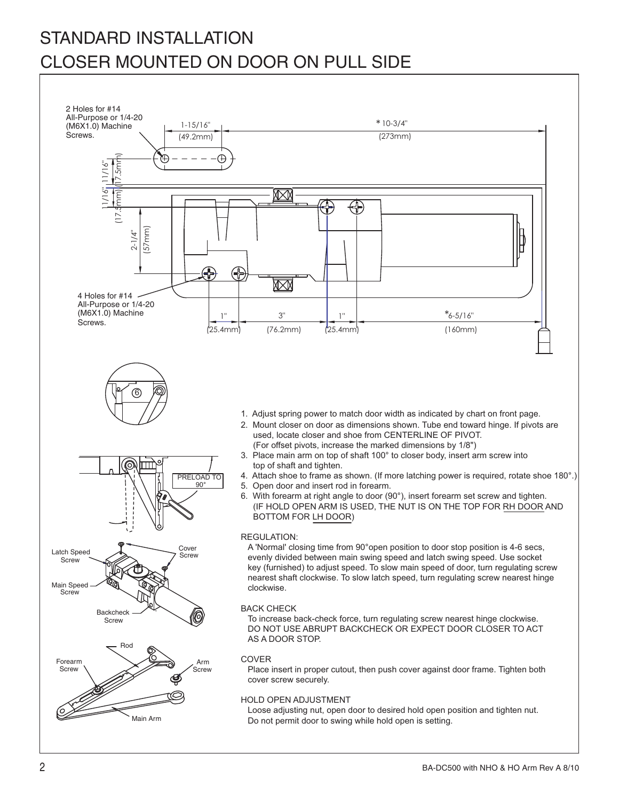## STANDARD INSTALLATION CLOSER MOUNTED ON DOOR ON PULL SIDE

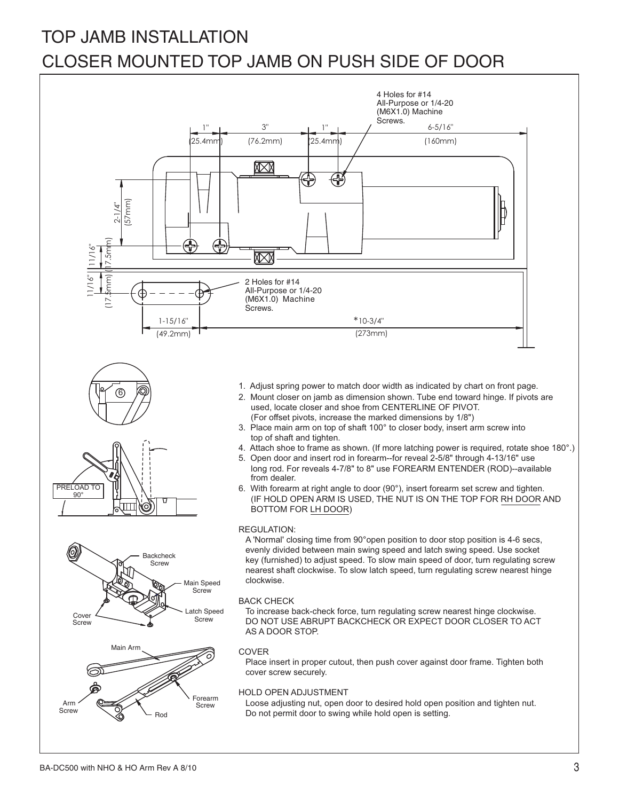## CLOSER MOUNTED TOP JAMB ON PUSH SIDE OF DOOR TOP JAMB INSTALLATION